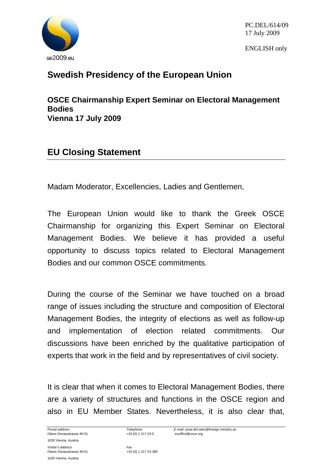

PC.DEL/614/09 17 July 2009

ENGLISH only

## **Swedish Presidency of the European Union**

**OSCE Chairmanship Expert Seminar on Electoral Management Bodies Vienna 17 July 2009** 

## **EU Closing Statement**

Madam Moderator, Excellencies, Ladies and Gentlemen,

The European Union would like to thank the Greek OSCE Chairmanship for organizing this Expert Seminar on Electoral Management Bodies. We believe it has provided a useful opportunity to discuss topics related to Electoral Management Bodies and our common OSCE commitments.

During the course of the Seminar we have touched on a broad range of issues including the structure and composition of Electoral Management Bodies, the integrity of elections as well as follow-up and implementation of election related commitments. Our discussions have been enriched by the qualitative participation of experts that work in the field and by representatives of civil society.

It is clear that when it comes to Electoral Management Bodies, there are a variety of structures and functions in the OSCE region and also in EU Member States. Nevertheless, it is also clear that,

1020 Vienna, Austria *Visitor's address* Fax Fax<br>
Obere Donaustrasse 49-51 Fax +43 (0) 1 217 53 380 Obere Donaustrasse 49-51 1020 Vienna, Austria

*Postal address Telephone E-mail:* osse-del.wien@foreign.ministry.se Obere Donaustrasse 49-51 +43 (0) 1 217 53 0 *euoffice@osce.org*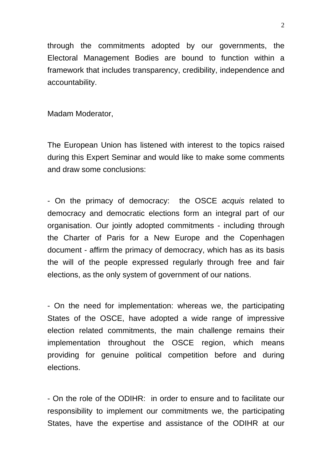through the commitments adopted by our governments, the Electoral Management Bodies are bound to function within a framework that includes transparency, credibility, independence and accountability.

Madam Moderator,

The European Union has listened with interest to the topics raised during this Expert Seminar and would like to make some comments and draw some conclusions:

- On the primacy of democracy: the OSCE *acquis* related to democracy and democratic elections form an integral part of our organisation. Our jointly adopted commitments - including through the Charter of Paris for a New Europe and the Copenhagen document - affirm the primacy of democracy, which has as its basis the will of the people expressed regularly through free and fair elections, as the only system of government of our nations.

- On the need for implementation: whereas we, the participating States of the OSCE, have adopted a wide range of impressive election related commitments, the main challenge remains their implementation throughout the OSCE region, which means providing for genuine political competition before and during elections.

- On the role of the ODIHR: in order to ensure and to facilitate our responsibility to implement our commitments we, the participating States, have the expertise and assistance of the ODIHR at our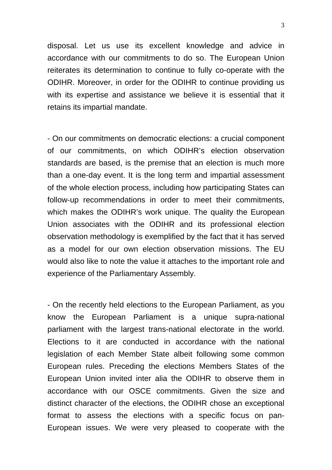disposal. Let us use its excellent knowledge and advice in accordance with our commitments to do so. The European Union reiterates its determination to continue to fully co-operate with the ODIHR. Moreover, in order for the ODIHR to continue providing us with its expertise and assistance we believe it is essential that it retains its impartial mandate.

- On our commitments on democratic elections: a crucial component of our commitments, on which ODIHR's election observation standards are based, is the premise that an election is much more than a one-day event. It is the long term and impartial assessment of the whole election process, including how participating States can follow-up recommendations in order to meet their commitments, which makes the ODIHR's work unique. The quality the European Union associates with the ODIHR and its professional election observation methodology is exemplified by the fact that it has served as a model for our own election observation missions. The EU would also like to note the value it attaches to the important role and experience of the Parliamentary Assembly.

- On the recently held elections to the European Parliament, as you know the European Parliament is a unique supra-national parliament with the largest trans-national electorate in the world. Elections to it are conducted in accordance with the national legislation of each Member State albeit following some common European rules. Preceding the elections Members States of the European Union invited inter alia the ODIHR to observe them in accordance with our OSCE commitments. Given the size and distinct character of the elections, the ODIHR chose an exceptional format to assess the elections with a specific focus on pan-European issues. We were very pleased to cooperate with the